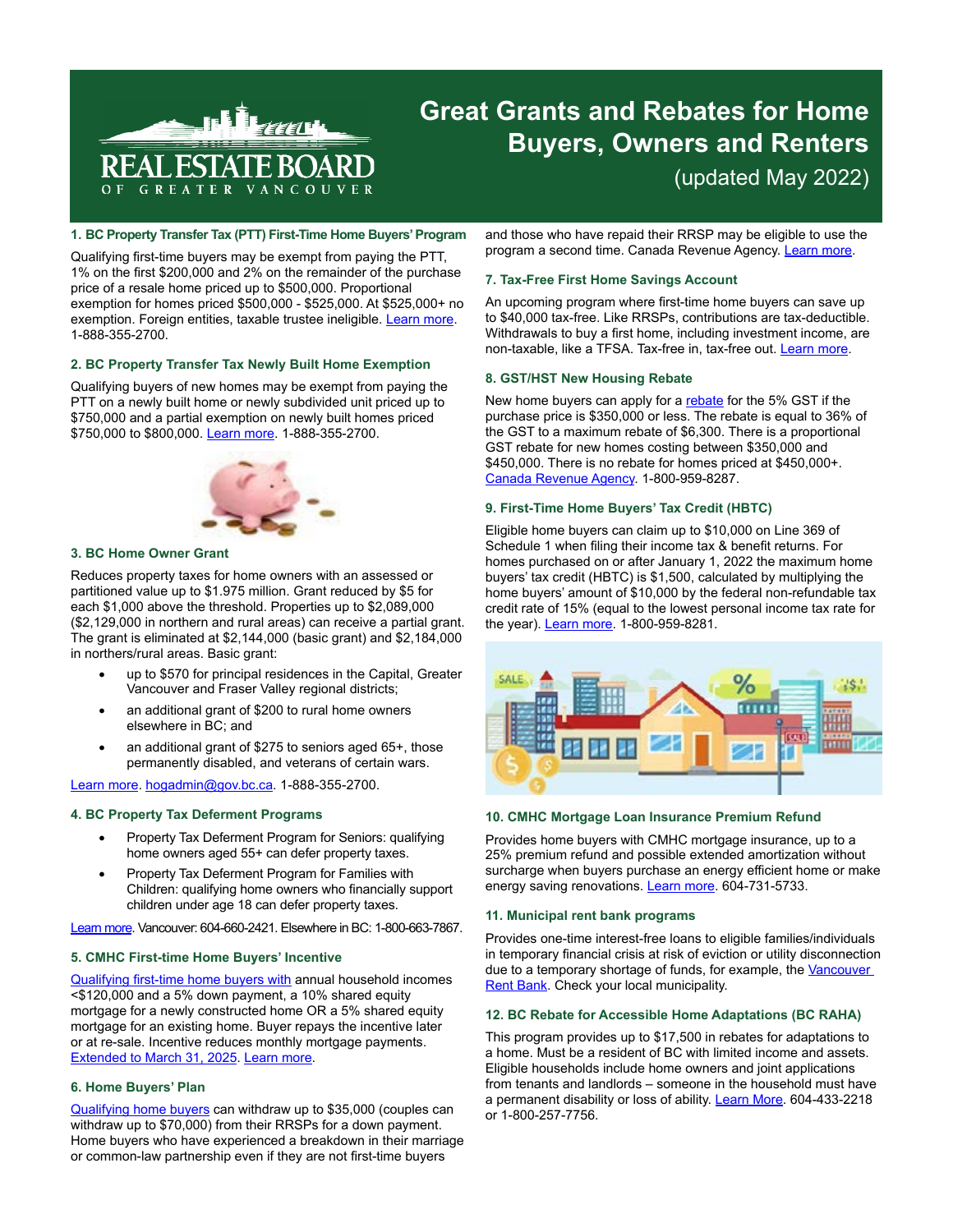

# **Great Grants and Rebates for Home Buyers, Owners and Renters** (updated May 2022)

# **1. BC Property Transfer Tax (PTT) First-Time Home Buyers' Program**

Qualifying first-time buyers may be exempt from paying the PTT, 1% on the first \$200,000 and 2% on the remainder of the purchase price of a resale home priced up to \$500,000. Proportional exemption for homes priced \$500,000 - \$525,000. At \$525,000+ no exemption. Foreign entities, taxable trustee ineligible. [Learn more.](https://www2.gov.bc.ca/gov/content/taxes/property-taxes/property-transfer-tax/exemptions/first-time-home-buyers) 1-888-355-2700.

#### **2. BC Property Transfer Tax Newly Built Home Exemption**

Qualifying buyers of new homes may be exempt from paying the PTT on a newly built home or newly subdivided unit priced up to \$750,000 and a partial exemption on newly built homes priced \$750,000 to \$800,000. [Learn more.](https://www2.gov.bc.ca/gov/content/taxes/property-taxes/property-transfer-tax/exemptions/newly-built-home-exemption) 1-888-355-2700.



## **3. BC Home Owner Grant**

Reduces property taxes for home owners with an assessed or partitioned value up to \$1.975 million. Grant reduced by \$5 for each \$1,000 above the threshold. Properties up to \$2,089,000 (\$2,129,000 in northern and rural areas) can receive a partial grant. The grant is eliminated at \$2,144,000 (basic grant) and \$2,184,000 in northers/rural areas. Basic grant:

- up to \$570 for principal residences in the Capital, Greater Vancouver and Fraser Valley regional districts;
- an additional grant of \$200 to rural home owners elsewhere in BC; and
- an additional grant of  $$275$  to seniors aged  $65+$ , those permanently disabled, and veterans of certain wars.

[Learn more.](https://www2.gov.bc.ca/gov/content/taxes/property-taxes/annual-property-tax/home-owner-grant) [hogadmin@gov.bc.ca](mailto:hogadmin@gov.bc.ca). 1-888-355-2700.

# **4. BC Property Tax Deferment Programs**

- Property Tax Deferment Program for Seniors: qualifying home owners aged 55+ can defer property taxes.
- Property Tax Deferment Program for Families with Children: qualifying home owners who financially support children under age 18 can defer property taxes.

[Learn more.](https://www2.gov.bc.ca/gov/content/taxes/property-taxes/annual-property-tax/defer-taxes) Vancouver: 604-660-2421. Elsewhere in BC: 1-800-663-7867.

# **5. CMHC First-time Home Buyers' Incentive**

[Qualifying first-time home buyers with](https://www.cmhc-schl.gc.ca/en/media-newsroom/news-releases/2019/making-housing-more-affordable-first-time-home-buyer-incentive) annual household incomes <\$120,000 and a 5% down payment, a 10% shared equity mortgage for a newly constructed home OR a 5% shared equity mortgage for an existing home. Buyer repays the incentive later or at re-sale. Incentive reduces monthly mortgage payments. [Extended to March 31, 2025](https://pm.gc.ca/en/news/news-releases/2022/04/13/helping-young-people-get-housing-market). [Learn more](https://www.cmhc-schl.gc.ca/en/consumers/home-buying/first-time-home-buyer-incentive).

## **6. Home Buyers' Plan**

[Qualifying home buyers](https://www.canada.ca/en/revenue-agency/services/tax/individuals/topics/rrsps-related-plans/what-home-buyers-plan/participate-home-buyers-plan.html) can withdraw up to \$35,000 (couples can withdraw up to \$70,000) from their RRSPs for a down payment. Home buyers who have experienced a breakdown in their marriage or common-law partnership even if they are not first-time buyers

and those who have repaid their RRSP may be eligible to use the program a second time. Canada Revenue Agency. [Learn more.](https://www.canada.ca/en/revenue-agency/services/tax/individuals/topics/rrsps-related-plans/what-home-buyers-plan.html)

# **7. Tax-Free First Home Savings Account**

An upcoming program where first-time home buyers can save up to \$40,000 tax-free. Like RRSPs, contributions are tax-deductible. Withdrawals to buy a first home, including investment income, are non-taxable, like a TFSA. Tax-free in, tax-free out. [Learn more](https://pm.gc.ca/en/news/news-releases/2022/04/13/helping-young-people-get-housing-market).

## **8. GST/HST New Housing Rebate**

New home buyers can apply for a [rebate](https://www.canada.ca/en/revenue-agency/services/forms-publications/publications/rc4028/gst-hst-new-housing-rebate.html) for the 5% GST if the purchase price is \$350,000 or less. The rebate is equal to 36% of the GST to a maximum rebate of \$6,300. There is a proportional GST rebate for new homes costing between \$350,000 and \$450,000. There is no rebate for homes priced at \$450,000+. [Canada Revenue Agency.](https://www.canada.ca/en/revenue-agency/services/forms-publications/publications/rc4028/gst-hst-new-housing-rebate.html) 1-800-959-8287.

## **9. First-Time Home Buyers' Tax Credit (HBTC)**

Eligible home buyers can claim up to \$10,000 on Line 369 of Schedule 1 when filing their income tax & benefit returns. For homes purchased on or after January 1, 2022 the maximum home buyers' tax credit (HBTC) is \$1,500, calculated by multiplying the home buyers' amount of \$10,000 by the federal non-refundable tax credit rate of 15% (equal to the lowest personal income tax rate for the year). [Learn more.](https://pm.gc.ca/en/news/news-releases/2022/04/13/helping-young-people-get-housing-market) 1-800-959-8281.



## **10. CMHC Mortgage Loan Insurance Premium Refund**

Provides home buyers with CMHC mortgage insurance, up to a 25% premium refund and possible extended amortization without surcharge when buyers purchase an energy efficient home or make energy saving renovations. **[Learn more](http://www.cmhc.ca/en/co/moloin/moloin_008.cfm)**. 604-731-5733.

## **11. Municipal rent bank programs**

Provides one-time interest-free loans to eligible families/individuals in temporary financial crisis at risk of eviction or utility disconnection due to a temporary shortage of funds, for example, the Vancouver [Rent Bank.](https://vancouver.ca/people-programs/financial-aid.aspx#:~:text=The%20Vancouver%20Rent%20Bank%20provides,people%20in%20temporary%20financial%20crisis) Check your local municipality.

#### **12. BC Rebate for Accessible Home Adaptations (BC RAHA)**

This program provides up to \$17,500 in rebates for adaptations to a home. Must be a resident of BC with limited income and assets. Eligible households include home owners and joint applications from tenants and landlords – someone in the household must have a permanent disability or loss of ability. [Learn More](https://www.bchousing.org/housing-assistance/HAFI/program-overview). 604-433-2218 or 1-800-257-7756.